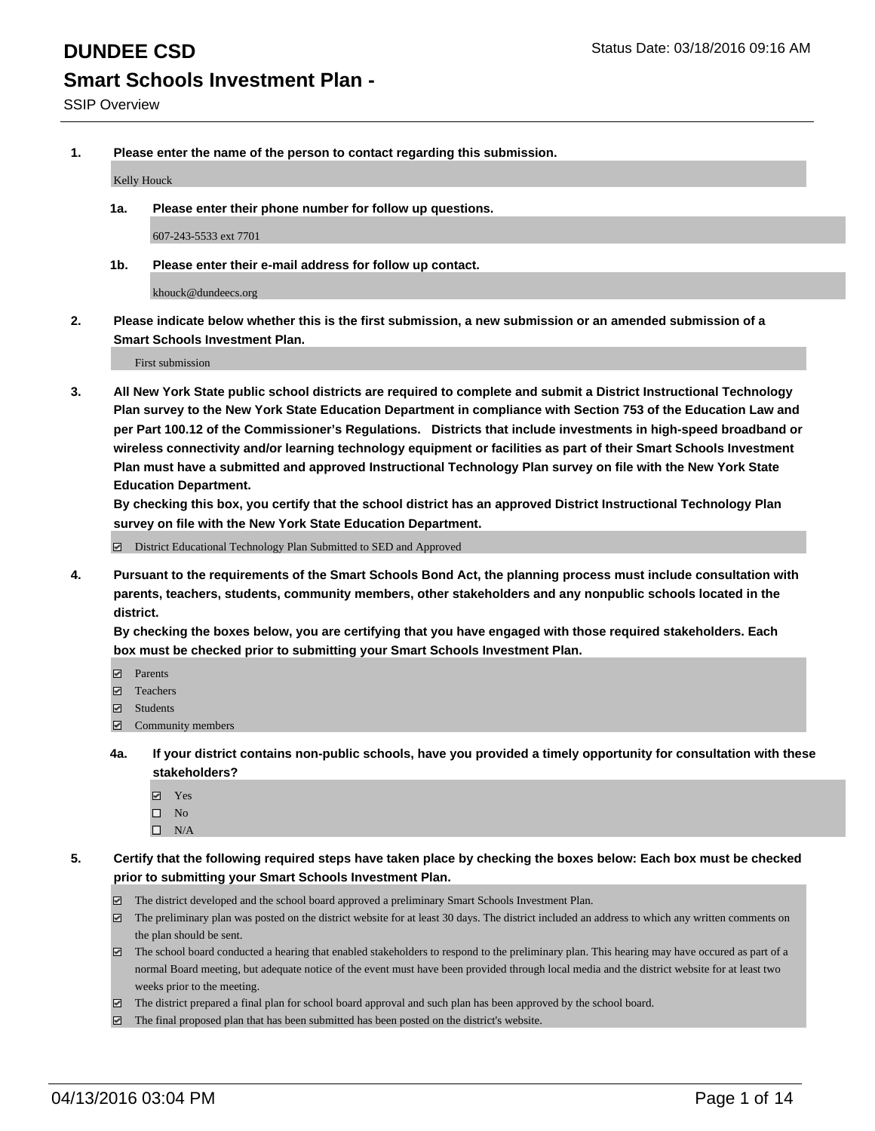**1. Please enter the name of the person to contact regarding this submission.**

Kelly Houck

**1a. Please enter their phone number for follow up questions.**

607-243-5533 ext 7701

**1b. Please enter their e-mail address for follow up contact.**

khouck@dundeecs.org

**2. Please indicate below whether this is the first submission, a new submission or an amended submission of a Smart Schools Investment Plan.**

First submission

**3. All New York State public school districts are required to complete and submit a District Instructional Technology Plan survey to the New York State Education Department in compliance with Section 753 of the Education Law and per Part 100.12 of the Commissioner's Regulations. Districts that include investments in high-speed broadband or wireless connectivity and/or learning technology equipment or facilities as part of their Smart Schools Investment Plan must have a submitted and approved Instructional Technology Plan survey on file with the New York State Education Department.** 

**By checking this box, you certify that the school district has an approved District Instructional Technology Plan survey on file with the New York State Education Department.**

■ District Educational Technology Plan Submitted to SED and Approved

**4. Pursuant to the requirements of the Smart Schools Bond Act, the planning process must include consultation with parents, teachers, students, community members, other stakeholders and any nonpublic schools located in the district.** 

**By checking the boxes below, you are certifying that you have engaged with those required stakeholders. Each box must be checked prior to submitting your Smart Schools Investment Plan.**

- **Parents**
- □ Teachers
- Students
- $\boxdot$  Community members
- **4a. If your district contains non-public schools, have you provided a timely opportunity for consultation with these stakeholders?**
	- Yes
	- $\square$  No
	- $\Box$  N/A
- **5. Certify that the following required steps have taken place by checking the boxes below: Each box must be checked prior to submitting your Smart Schools Investment Plan.**
	- The district developed and the school board approved a preliminary Smart Schools Investment Plan.
	- The preliminary plan was posted on the district website for at least 30 days. The district included an address to which any written comments on the plan should be sent.
	- $\Box$  The school board conducted a hearing that enabled stakeholders to respond to the preliminary plan. This hearing may have occured as part of a normal Board meeting, but adequate notice of the event must have been provided through local media and the district website for at least two weeks prior to the meeting.
	- The district prepared a final plan for school board approval and such plan has been approved by the school board.
	- The final proposed plan that has been submitted has been posted on the district's website.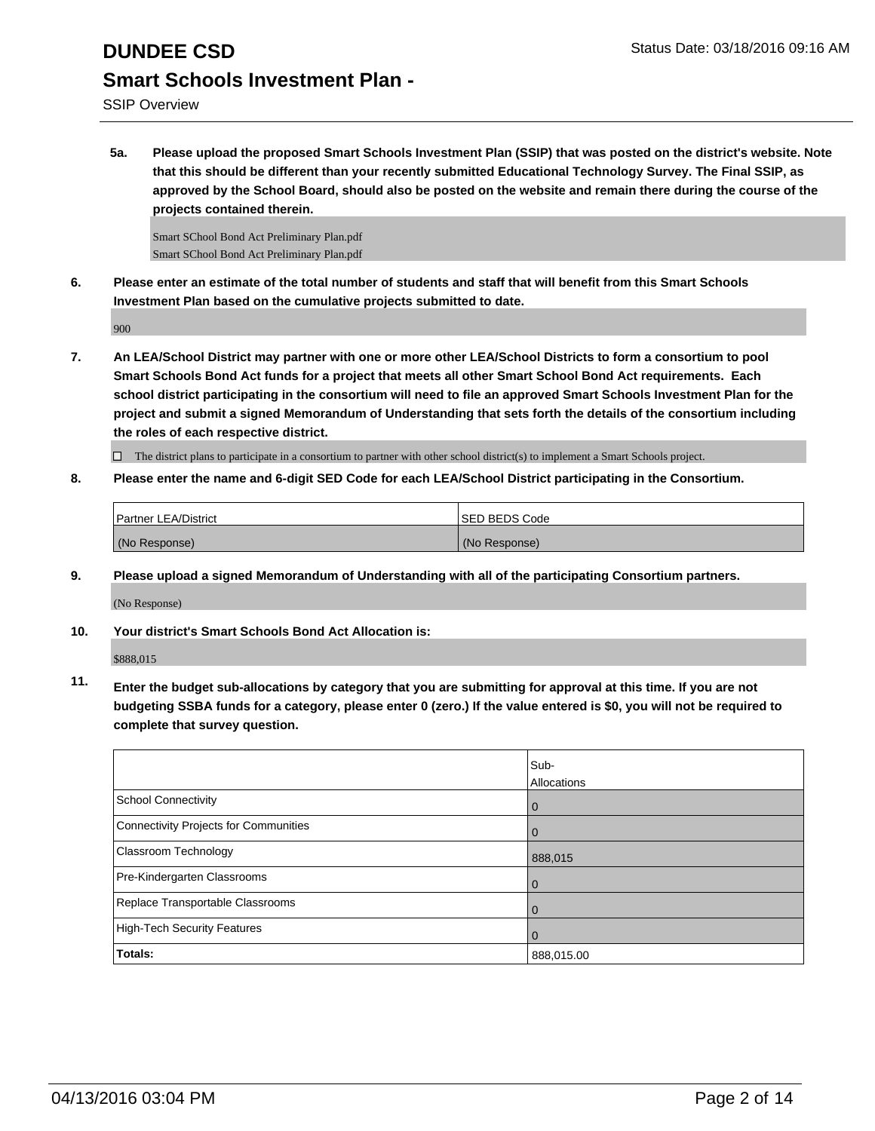## **DUNDEE CSD** Status Date: 03/18/2016 09:16 AM **Smart Schools Investment Plan -**

**5a. Please upload the proposed Smart Schools Investment Plan (SSIP) that was posted on the district's website. Note that this should be different than your recently submitted Educational Technology Survey. The Final SSIP, as approved by the School Board, should also be posted on the website and remain there during the course of the projects contained therein.**

Smart SChool Bond Act Preliminary Plan.pdf Smart SChool Bond Act Preliminary Plan.pdf

**6. Please enter an estimate of the total number of students and staff that will benefit from this Smart Schools Investment Plan based on the cumulative projects submitted to date.**

900

**7. An LEA/School District may partner with one or more other LEA/School Districts to form a consortium to pool Smart Schools Bond Act funds for a project that meets all other Smart School Bond Act requirements. Each school district participating in the consortium will need to file an approved Smart Schools Investment Plan for the project and submit a signed Memorandum of Understanding that sets forth the details of the consortium including the roles of each respective district.**

 $\Box$  The district plans to participate in a consortium to partner with other school district(s) to implement a Smart Schools project.

**8. Please enter the name and 6-digit SED Code for each LEA/School District participating in the Consortium.**

| <b>Partner LEA/District</b> | <b>ISED BEDS Code</b> |
|-----------------------------|-----------------------|
| (No Response)               | (No Response)         |

**9. Please upload a signed Memorandum of Understanding with all of the participating Consortium partners.**

(No Response)

**10. Your district's Smart Schools Bond Act Allocation is:**

\$888,015

**11. Enter the budget sub-allocations by category that you are submitting for approval at this time. If you are not budgeting SSBA funds for a category, please enter 0 (zero.) If the value entered is \$0, you will not be required to complete that survey question.**

|                                       | Sub-<br>Allocations |
|---------------------------------------|---------------------|
| <b>School Connectivity</b>            | 0                   |
| Connectivity Projects for Communities |                     |
| <b>Classroom Technology</b>           | 888,015             |
| Pre-Kindergarten Classrooms           | 0                   |
| Replace Transportable Classrooms      | 0                   |
| High-Tech Security Features           | 0                   |
| Totals:                               | 888,015.00          |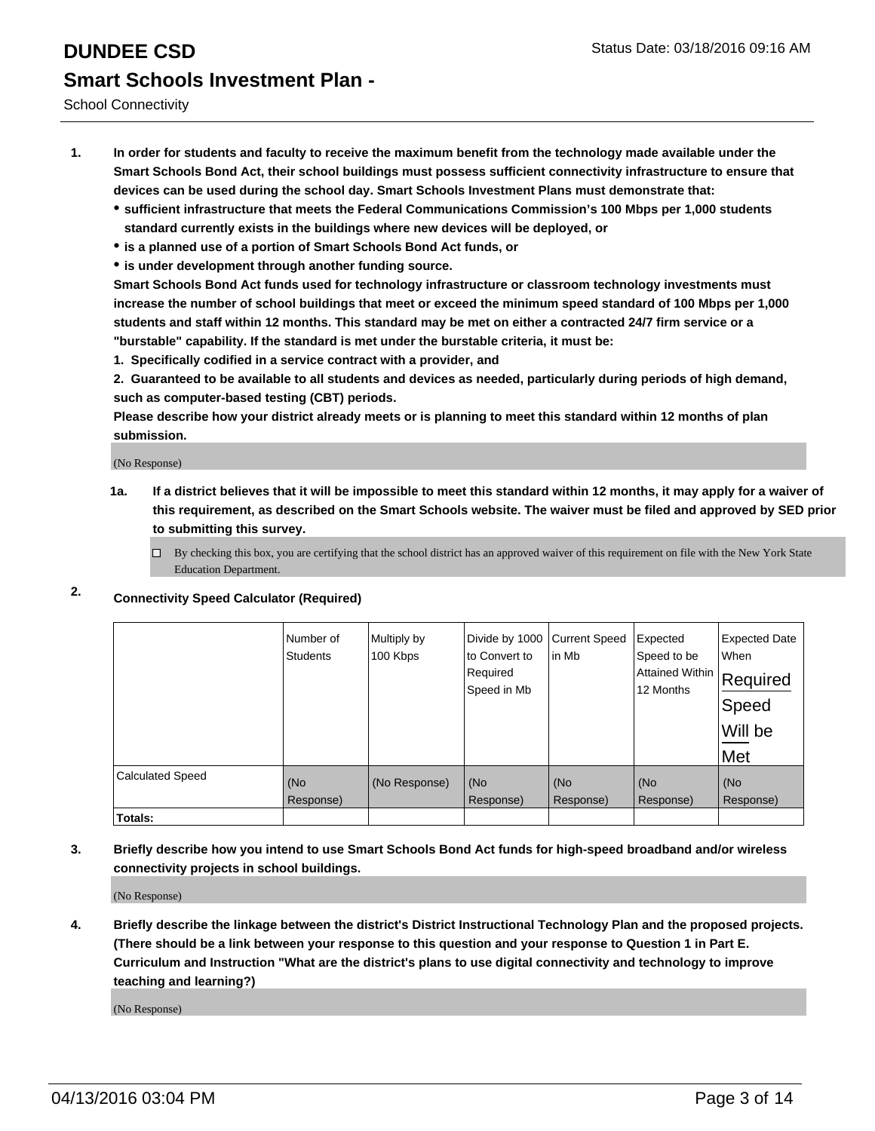School Connectivity

- **1. In order for students and faculty to receive the maximum benefit from the technology made available under the Smart Schools Bond Act, their school buildings must possess sufficient connectivity infrastructure to ensure that devices can be used during the school day. Smart Schools Investment Plans must demonstrate that:**
	- **sufficient infrastructure that meets the Federal Communications Commission's 100 Mbps per 1,000 students standard currently exists in the buildings where new devices will be deployed, or**
	- **is a planned use of a portion of Smart Schools Bond Act funds, or**
	- **is under development through another funding source.**

**Smart Schools Bond Act funds used for technology infrastructure or classroom technology investments must increase the number of school buildings that meet or exceed the minimum speed standard of 100 Mbps per 1,000 students and staff within 12 months. This standard may be met on either a contracted 24/7 firm service or a "burstable" capability. If the standard is met under the burstable criteria, it must be:**

**1. Specifically codified in a service contract with a provider, and**

**2. Guaranteed to be available to all students and devices as needed, particularly during periods of high demand, such as computer-based testing (CBT) periods.**

**Please describe how your district already meets or is planning to meet this standard within 12 months of plan submission.**

(No Response)

- **1a. If a district believes that it will be impossible to meet this standard within 12 months, it may apply for a waiver of this requirement, as described on the Smart Schools website. The waiver must be filed and approved by SED prior to submitting this survey.**
	- □ By checking this box, you are certifying that the school district has an approved waiver of this requirement on file with the New York State Education Department.
- **2. Connectivity Speed Calculator (Required)**

|                         | Number of<br><b>Students</b> | Multiply by<br>100 Kbps | Divide by 1000<br>to Convert to<br>Required<br>Speed in Mb | <b>Current Speed</b><br>in Mb | Expected<br>Speed to be<br>Attained Within<br>12 Months | <b>Expected Date</b><br>When<br>Required<br>Speed<br>Will be<br>Met |
|-------------------------|------------------------------|-------------------------|------------------------------------------------------------|-------------------------------|---------------------------------------------------------|---------------------------------------------------------------------|
| <b>Calculated Speed</b> | (No<br>Response)             | (No Response)           | (No<br>Response)                                           | (No<br>Response)              | (No<br>Response)                                        | (No<br>Response)                                                    |
| Totals:                 |                              |                         |                                                            |                               |                                                         |                                                                     |

**3. Briefly describe how you intend to use Smart Schools Bond Act funds for high-speed broadband and/or wireless connectivity projects in school buildings.**

(No Response)

**4. Briefly describe the linkage between the district's District Instructional Technology Plan and the proposed projects. (There should be a link between your response to this question and your response to Question 1 in Part E. Curriculum and Instruction "What are the district's plans to use digital connectivity and technology to improve teaching and learning?)**

(No Response)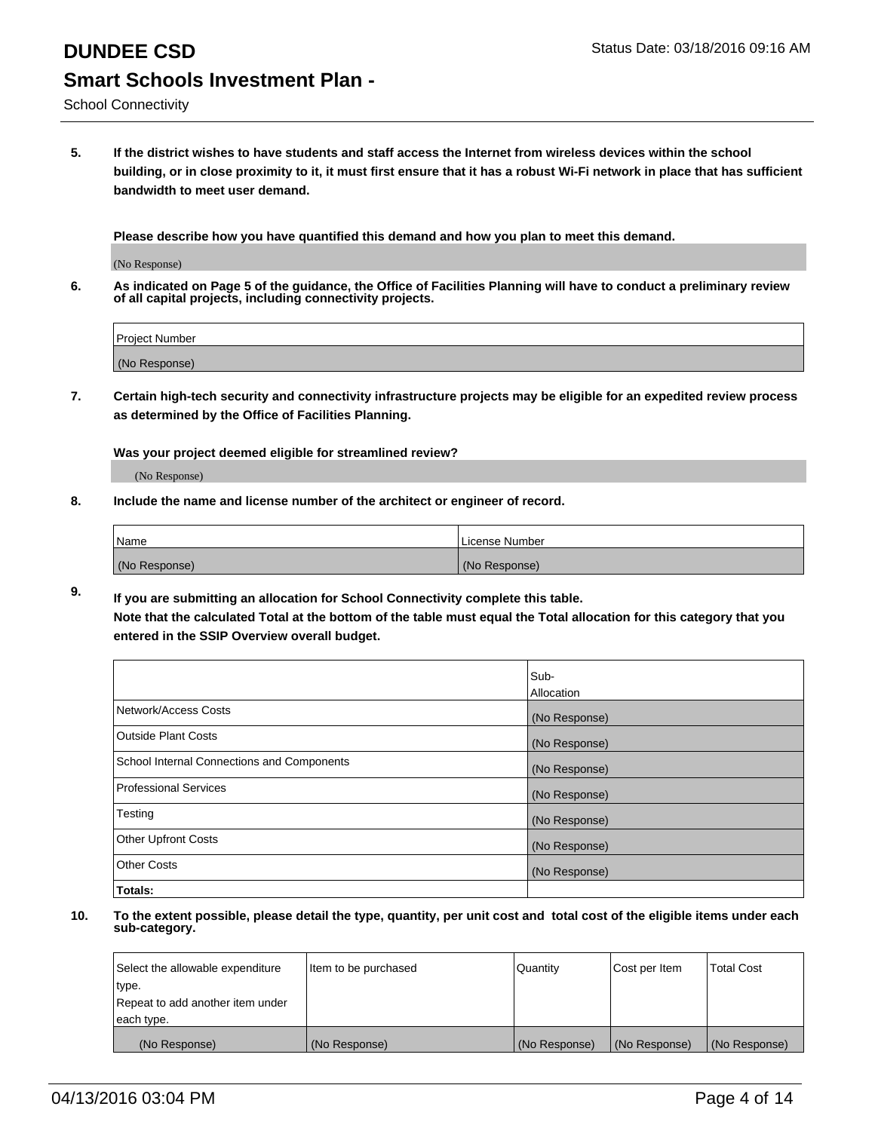**5. If the district wishes to have students and staff access the Internet from wireless devices within the school building, or in close proximity to it, it must first ensure that it has a robust Wi-Fi network in place that has sufficient bandwidth to meet user demand.**

**Please describe how you have quantified this demand and how you plan to meet this demand.**

(No Response)

**6. As indicated on Page 5 of the guidance, the Office of Facilities Planning will have to conduct a preliminary review of all capital projects, including connectivity projects.**

| Project Number |  |
|----------------|--|
| (No Response)  |  |

**7. Certain high-tech security and connectivity infrastructure projects may be eligible for an expedited review process as determined by the Office of Facilities Planning.**

**Was your project deemed eligible for streamlined review?**

(No Response)

**8. Include the name and license number of the architect or engineer of record.**

| Name          | License Number |
|---------------|----------------|
| (No Response) | (No Response)  |

**9. If you are submitting an allocation for School Connectivity complete this table. Note that the calculated Total at the bottom of the table must equal the Total allocation for this category that you entered in the SSIP Overview overall budget.** 

|                                            | Sub-          |
|--------------------------------------------|---------------|
|                                            | Allocation    |
| Network/Access Costs                       | (No Response) |
| <b>Outside Plant Costs</b>                 | (No Response) |
| School Internal Connections and Components | (No Response) |
| <b>Professional Services</b>               | (No Response) |
| Testing                                    | (No Response) |
| <b>Other Upfront Costs</b>                 | (No Response) |
| <b>Other Costs</b>                         | (No Response) |
| Totals:                                    |               |

| Select the allowable expenditure | litem to be purchased | Quantity      | Cost per Item | <b>Total Cost</b> |
|----------------------------------|-----------------------|---------------|---------------|-------------------|
| type.                            |                       |               |               |                   |
| Repeat to add another item under |                       |               |               |                   |
| each type.                       |                       |               |               |                   |
| (No Response)                    | (No Response)         | (No Response) | (No Response) | (No Response)     |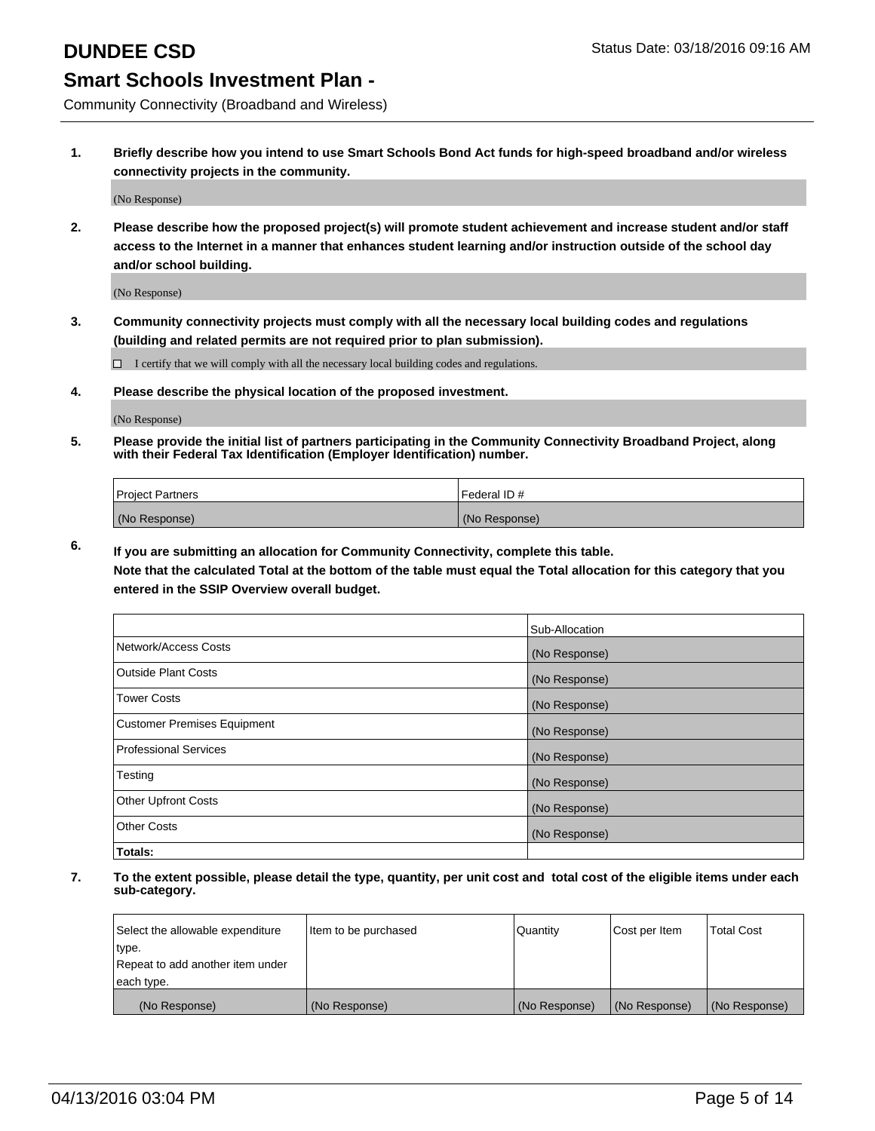Community Connectivity (Broadband and Wireless)

**1. Briefly describe how you intend to use Smart Schools Bond Act funds for high-speed broadband and/or wireless connectivity projects in the community.**

(No Response)

**2. Please describe how the proposed project(s) will promote student achievement and increase student and/or staff access to the Internet in a manner that enhances student learning and/or instruction outside of the school day and/or school building.**

(No Response)

**3. Community connectivity projects must comply with all the necessary local building codes and regulations (building and related permits are not required prior to plan submission).**

 $\Box$  I certify that we will comply with all the necessary local building codes and regulations.

**4. Please describe the physical location of the proposed investment.**

(No Response)

**5. Please provide the initial list of partners participating in the Community Connectivity Broadband Project, along with their Federal Tax Identification (Employer Identification) number.**

| <b>Project Partners</b> | I Federal ID # |
|-------------------------|----------------|
| (No Response)           | (No Response)  |

**6. If you are submitting an allocation for Community Connectivity, complete this table.**

**Note that the calculated Total at the bottom of the table must equal the Total allocation for this category that you entered in the SSIP Overview overall budget.**

|                                    | Sub-Allocation |
|------------------------------------|----------------|
| Network/Access Costs               | (No Response)  |
| Outside Plant Costs                | (No Response)  |
| <b>Tower Costs</b>                 | (No Response)  |
| <b>Customer Premises Equipment</b> | (No Response)  |
| Professional Services              | (No Response)  |
| Testing                            | (No Response)  |
| <b>Other Upfront Costs</b>         | (No Response)  |
| Other Costs                        | (No Response)  |
| Totals:                            |                |

| Select the allowable expenditure | Item to be purchased | Quantity      | Cost per Item | <b>Total Cost</b> |
|----------------------------------|----------------------|---------------|---------------|-------------------|
| type.                            |                      |               |               |                   |
| Repeat to add another item under |                      |               |               |                   |
| each type.                       |                      |               |               |                   |
| (No Response)                    | (No Response)        | (No Response) | (No Response) | (No Response)     |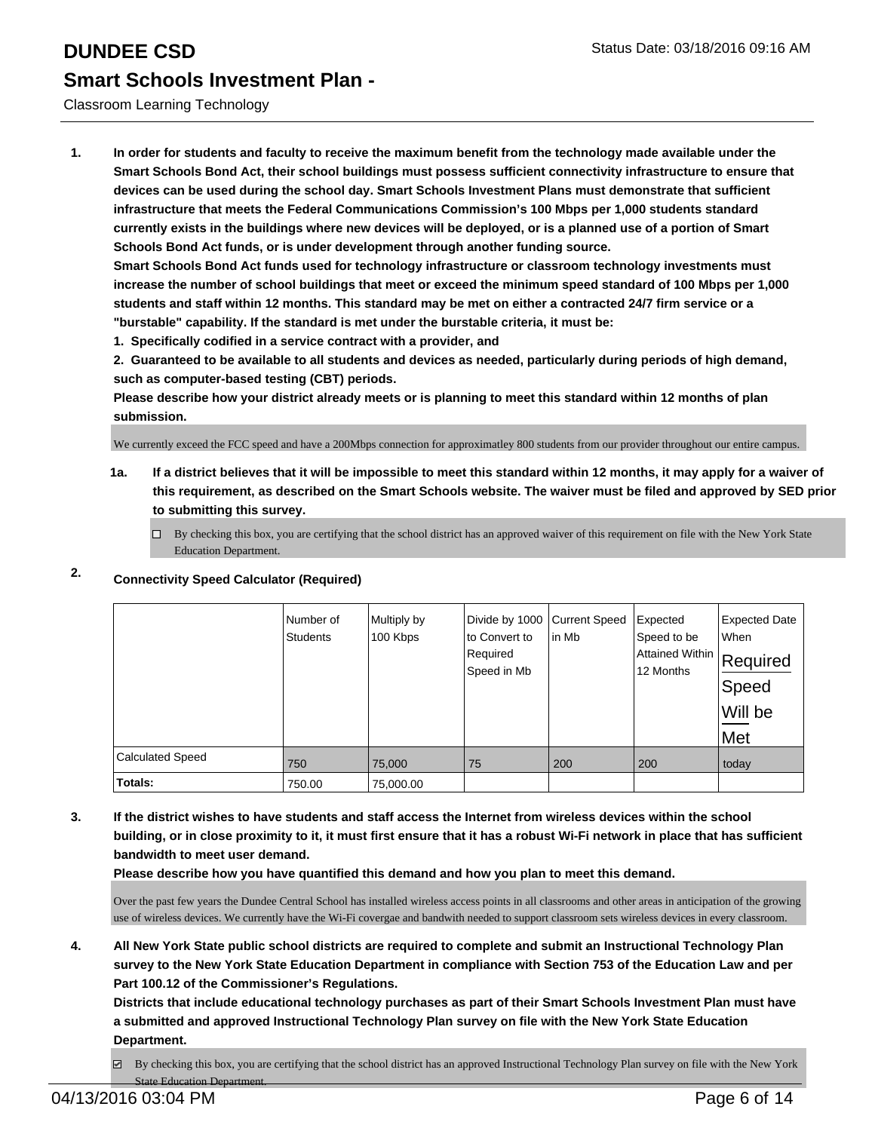### Classroom Learning Technology

**1. In order for students and faculty to receive the maximum benefit from the technology made available under the Smart Schools Bond Act, their school buildings must possess sufficient connectivity infrastructure to ensure that devices can be used during the school day. Smart Schools Investment Plans must demonstrate that sufficient infrastructure that meets the Federal Communications Commission's 100 Mbps per 1,000 students standard currently exists in the buildings where new devices will be deployed, or is a planned use of a portion of Smart Schools Bond Act funds, or is under development through another funding source.**

**Smart Schools Bond Act funds used for technology infrastructure or classroom technology investments must increase the number of school buildings that meet or exceed the minimum speed standard of 100 Mbps per 1,000 students and staff within 12 months. This standard may be met on either a contracted 24/7 firm service or a "burstable" capability. If the standard is met under the burstable criteria, it must be:**

**1. Specifically codified in a service contract with a provider, and**

**2. Guaranteed to be available to all students and devices as needed, particularly during periods of high demand, such as computer-based testing (CBT) periods.**

**Please describe how your district already meets or is planning to meet this standard within 12 months of plan submission.**

We currently exceed the FCC speed and have a 200Mbps connection for approximatley 800 students from our provider throughout our entire campus.

**1a. If a district believes that it will be impossible to meet this standard within 12 months, it may apply for a waiver of this requirement, as described on the Smart Schools website. The waiver must be filed and approved by SED prior to submitting this survey.**

 $\Box$  By checking this box, you are certifying that the school district has an approved waiver of this requirement on file with the New York State Education Department.

### **2. Connectivity Speed Calculator (Required)**

|                         | Number of<br>Students | Multiply by<br>100 Kbps | Divide by 1000<br>to Convert to<br>Required<br>Speed in Mb | Current Speed<br>lin Mb | Expected<br>Speed to be<br>Attained Within   Required<br>12 Months | <b>Expected Date</b><br>When<br>Speed<br>Will be<br>Met |
|-------------------------|-----------------------|-------------------------|------------------------------------------------------------|-------------------------|--------------------------------------------------------------------|---------------------------------------------------------|
| <b>Calculated Speed</b> | 750                   | 75,000                  | 75                                                         | 200                     | 200                                                                | today                                                   |
| Totals:                 | 750.00                | 75,000.00               |                                                            |                         |                                                                    |                                                         |

**3. If the district wishes to have students and staff access the Internet from wireless devices within the school building, or in close proximity to it, it must first ensure that it has a robust Wi-Fi network in place that has sufficient bandwidth to meet user demand.**

**Please describe how you have quantified this demand and how you plan to meet this demand.**

Over the past few years the Dundee Central School has installed wireless access points in all classrooms and other areas in anticipation of the growing use of wireless devices. We currently have the Wi-Fi covergae and bandwith needed to support classroom sets wireless devices in every classroom.

**4. All New York State public school districts are required to complete and submit an Instructional Technology Plan survey to the New York State Education Department in compliance with Section 753 of the Education Law and per Part 100.12 of the Commissioner's Regulations.**

**Districts that include educational technology purchases as part of their Smart Schools Investment Plan must have a submitted and approved Instructional Technology Plan survey on file with the New York State Education Department.**

 $\boxtimes$  By checking this box, you are certifying that the school district has an approved Instructional Technology Plan survey on file with the New York State Education Department.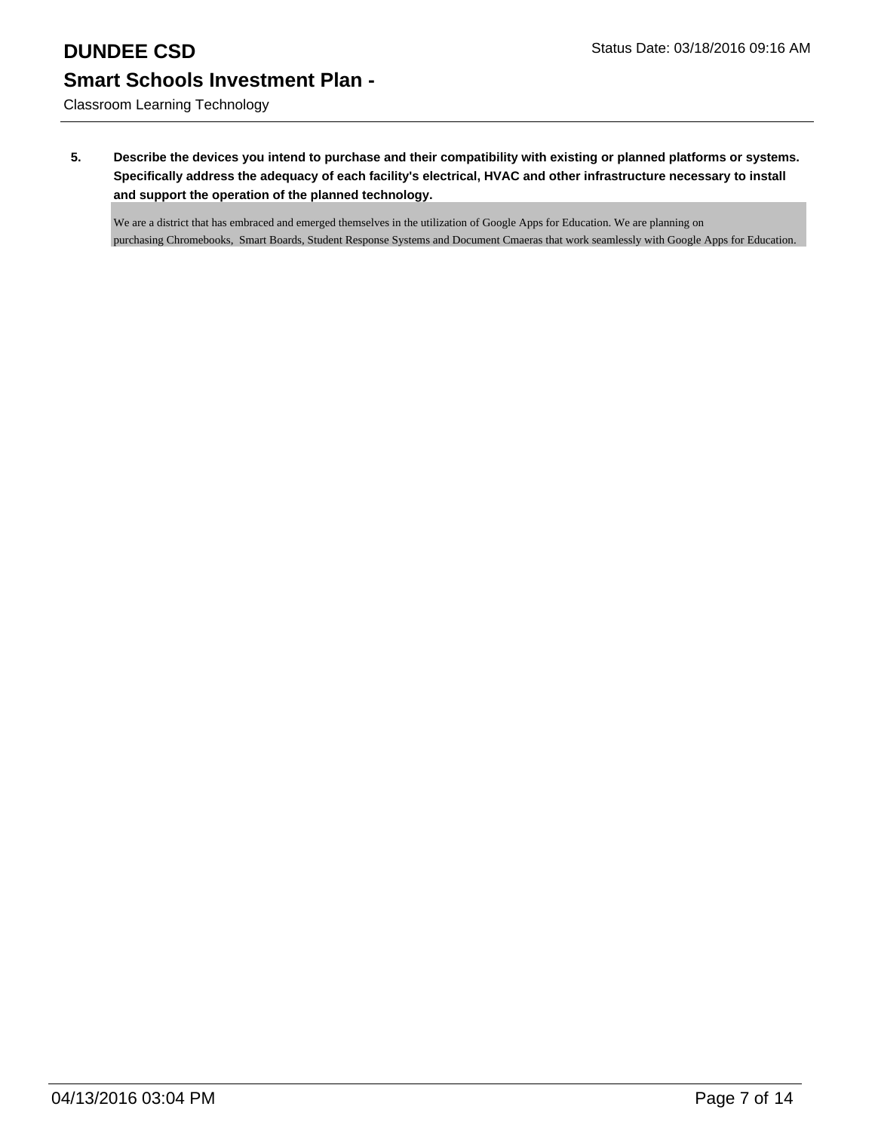# **DUNDEE CSD** Status Date: 03/18/2016 09:16 AM **Smart Schools Investment Plan -**

Classroom Learning Technology

**5. Describe the devices you intend to purchase and their compatibility with existing or planned platforms or systems. Specifically address the adequacy of each facility's electrical, HVAC and other infrastructure necessary to install and support the operation of the planned technology.**

We are a district that has embraced and emerged themselves in the utilization of Google Apps for Education. We are planning on purchasing Chromebooks, Smart Boards, Student Response Systems and Document Cmaeras that work seamlessly with Google Apps for Education.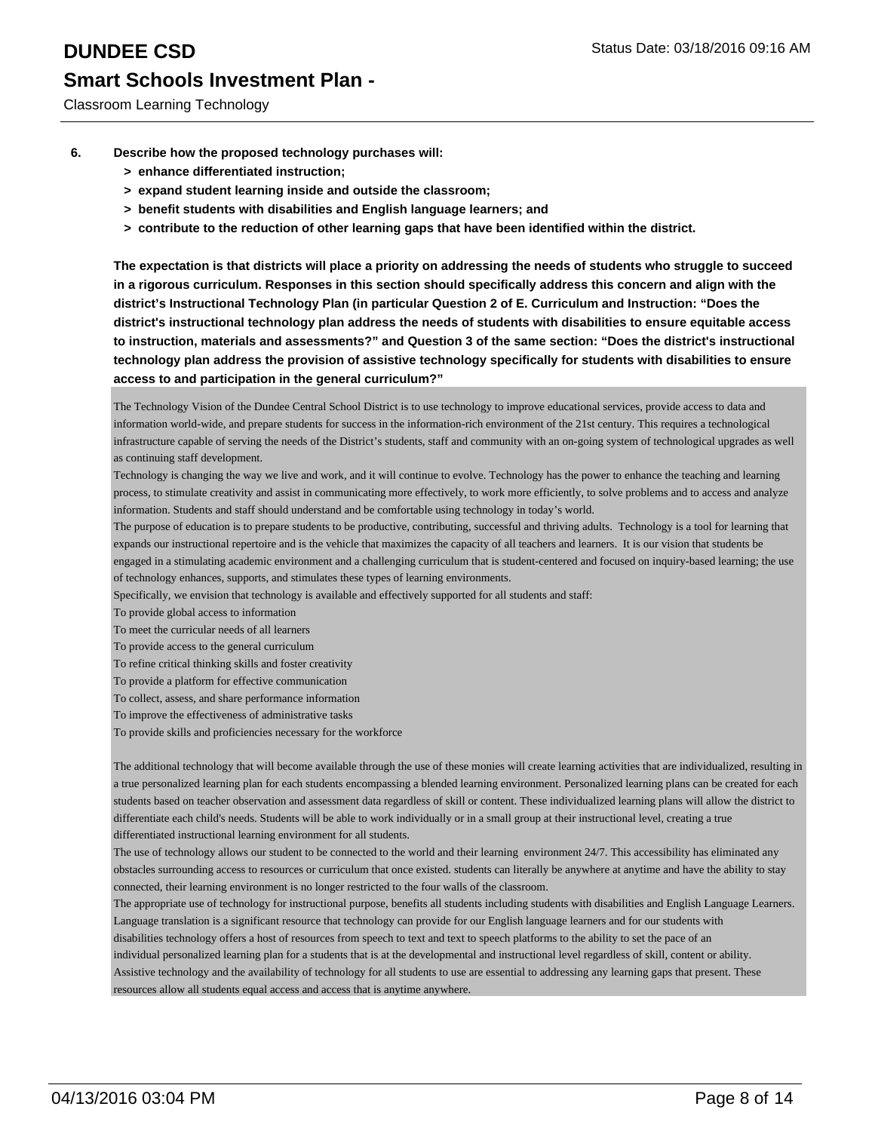- **6. Describe how the proposed technology purchases will:**
	- **> enhance differentiated instruction;**
	- **> expand student learning inside and outside the classroom;**
	- **> benefit students with disabilities and English language learners; and**
	- **> contribute to the reduction of other learning gaps that have been identified within the district.**

**The expectation is that districts will place a priority on addressing the needs of students who struggle to succeed in a rigorous curriculum. Responses in this section should specifically address this concern and align with the district's Instructional Technology Plan (in particular Question 2 of E. Curriculum and Instruction: "Does the district's instructional technology plan address the needs of students with disabilities to ensure equitable access to instruction, materials and assessments?" and Question 3 of the same section: "Does the district's instructional technology plan address the provision of assistive technology specifically for students with disabilities to ensure access to and participation in the general curriculum?"**

The Technology Vision of the Dundee Central School District is to use technology to improve educational services, provide access to data and information world-wide, and prepare students for success in the information-rich environment of the 21st century. This requires a technological infrastructure capable of serving the needs of the District's students, staff and community with an on-going system of technological upgrades as well as continuing staff development.

Technology is changing the way we live and work, and it will continue to evolve. Technology has the power to enhance the teaching and learning process, to stimulate creativity and assist in communicating more effectively, to work more efficiently, to solve problems and to access and analyze information. Students and staff should understand and be comfortable using technology in today's world.

The purpose of education is to prepare students to be productive, contributing, successful and thriving adults. Technology is a tool for learning that expands our instructional repertoire and is the vehicle that maximizes the capacity of all teachers and learners. It is our vision that students be engaged in a stimulating academic environment and a challenging curriculum that is student-centered and focused on inquiry-based learning; the use of technology enhances, supports, and stimulates these types of learning environments.

Specifically, we envision that technology is available and effectively supported for all students and staff:

To provide global access to information

To meet the curricular needs of all learners

To provide access to the general curriculum

To refine critical thinking skills and foster creativity

To provide a platform for effective communication

To collect, assess, and share performance information

- To improve the effectiveness of administrative tasks
- To provide skills and proficiencies necessary for the workforce

The additional technology that will become available through the use of these monies will create learning activities that are individualized, resulting in a true personalized learning plan for each students encompassing a blended learning environment. Personalized learning plans can be created for each students based on teacher observation and assessment data regardless of skill or content. These individualized learning plans will allow the district to differentiate each child's needs. Students will be able to work individually or in a small group at their instructional level, creating a true differentiated instructional learning environment for all students.

The use of technology allows our student to be connected to the world and their learning environment 24/7. This accessibility has eliminated any obstacles surrounding access to resources or curriculum that once existed. students can literally be anywhere at anytime and have the ability to stay connected, their learning environment is no longer restricted to the four walls of the classroom.

The appropriate use of technology for instructional purpose, benefits all students including students with disabilities and English Language Learners. Language translation is a significant resource that technology can provide for our English language learners and for our students with disabilities technology offers a host of resources from speech to text and text to speech platforms to the ability to set the pace of an individual personalized learning plan for a students that is at the developmental and instructional level regardless of skill, content or ability. Assistive technology and the availability of technology for all students to use are essential to addressing any learning gaps that present. These resources allow all students equal access and access that is anytime anywhere.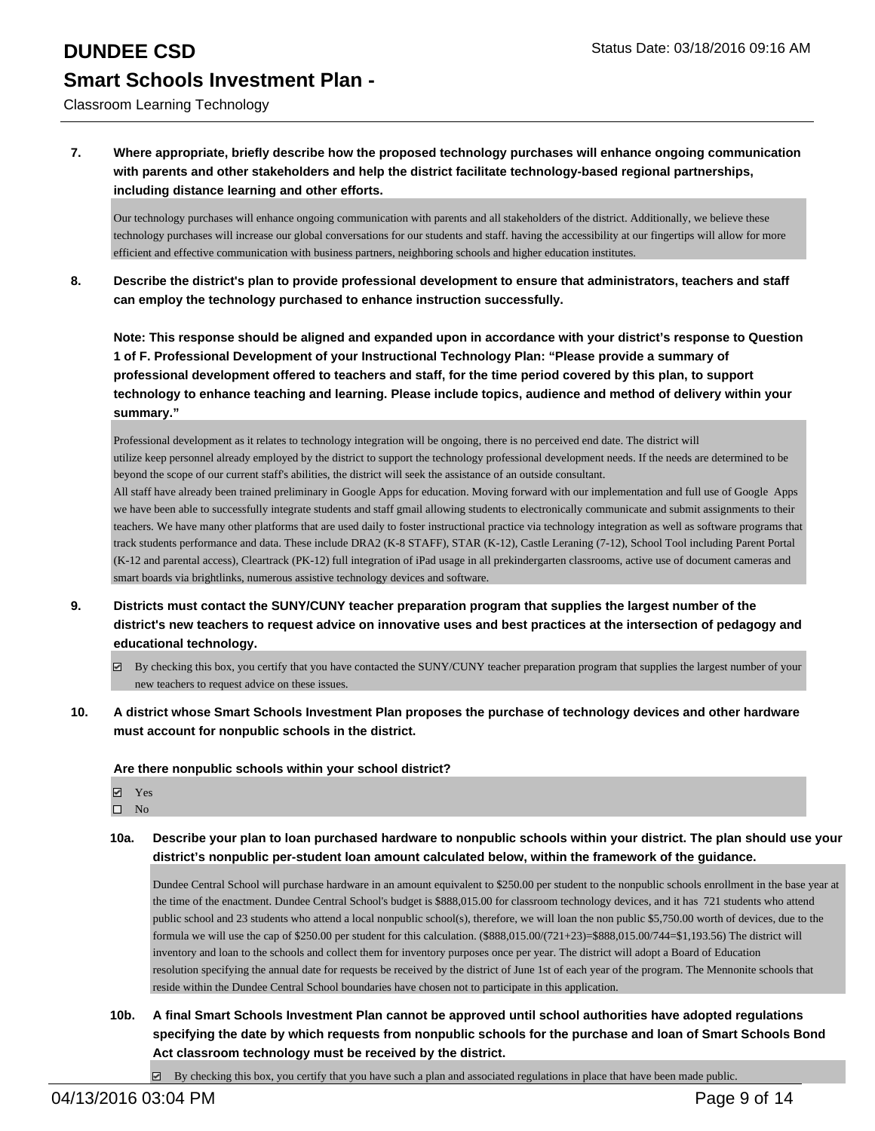Classroom Learning Technology

**7. Where appropriate, briefly describe how the proposed technology purchases will enhance ongoing communication with parents and other stakeholders and help the district facilitate technology-based regional partnerships, including distance learning and other efforts.**

Our technology purchases will enhance ongoing communication with parents and all stakeholders of the district. Additionally, we believe these technology purchases will increase our global conversations for our students and staff. having the accessibility at our fingertips will allow for more efficient and effective communication with business partners, neighboring schools and higher education institutes.

**8. Describe the district's plan to provide professional development to ensure that administrators, teachers and staff can employ the technology purchased to enhance instruction successfully.**

**Note: This response should be aligned and expanded upon in accordance with your district's response to Question 1 of F. Professional Development of your Instructional Technology Plan: "Please provide a summary of professional development offered to teachers and staff, for the time period covered by this plan, to support technology to enhance teaching and learning. Please include topics, audience and method of delivery within your summary."**

Professional development as it relates to technology integration will be ongoing, there is no perceived end date. The district will utilize keep personnel already employed by the district to support the technology professional development needs. If the needs are determined to be beyond the scope of our current staff's abilities, the district will seek the assistance of an outside consultant.

All staff have already been trained preliminary in Google Apps for education. Moving forward with our implementation and full use of Google Apps we have been able to successfully integrate students and staff gmail allowing students to electronically communicate and submit assignments to their teachers. We have many other platforms that are used daily to foster instructional practice via technology integration as well as software programs that track students performance and data. These include DRA2 (K-8 STAFF), STAR (K-12), Castle Leraning (7-12), School Tool including Parent Portal (K-12 and parental access), Cleartrack (PK-12) full integration of iPad usage in all prekindergarten classrooms, active use of document cameras and smart boards via brightlinks, numerous assistive technology devices and software.

- **9. Districts must contact the SUNY/CUNY teacher preparation program that supplies the largest number of the district's new teachers to request advice on innovative uses and best practices at the intersection of pedagogy and educational technology.**
	- $\boxtimes$  By checking this box, you certify that you have contacted the SUNY/CUNY teacher preparation program that supplies the largest number of your new teachers to request advice on these issues.
- **10. A district whose Smart Schools Investment Plan proposes the purchase of technology devices and other hardware must account for nonpublic schools in the district.**

**Are there nonpublic schools within your school district?**

| ✓ | Yes |
|---|-----|
| ш | Nο  |

**10a. Describe your plan to loan purchased hardware to nonpublic schools within your district. The plan should use your district's nonpublic per-student loan amount calculated below, within the framework of the guidance.**

Dundee Central School will purchase hardware in an amount equivalent to \$250.00 per student to the nonpublic schools enrollment in the base year at the time of the enactment. Dundee Central School's budget is \$888,015.00 for classroom technology devices, and it has 721 students who attend public school and 23 students who attend a local nonpublic school(s), therefore, we will loan the non public \$5,750.00 worth of devices, due to the formula we will use the cap of \$250.00 per student for this calculation. (\$888,015.00/(721+23)=\$888,015.00/744=\$1,193.56) The district will inventory and loan to the schools and collect them for inventory purposes once per year. The district will adopt a Board of Education resolution specifying the annual date for requests be received by the district of June 1st of each year of the program. The Mennonite schools that reside within the Dundee Central School boundaries have chosen not to participate in this application.

**10b. A final Smart Schools Investment Plan cannot be approved until school authorities have adopted regulations specifying the date by which requests from nonpublic schools for the purchase and loan of Smart Schools Bond Act classroom technology must be received by the district.**

 $\boxtimes$  By checking this box, you certify that you have such a plan and associated regulations in place that have been made public.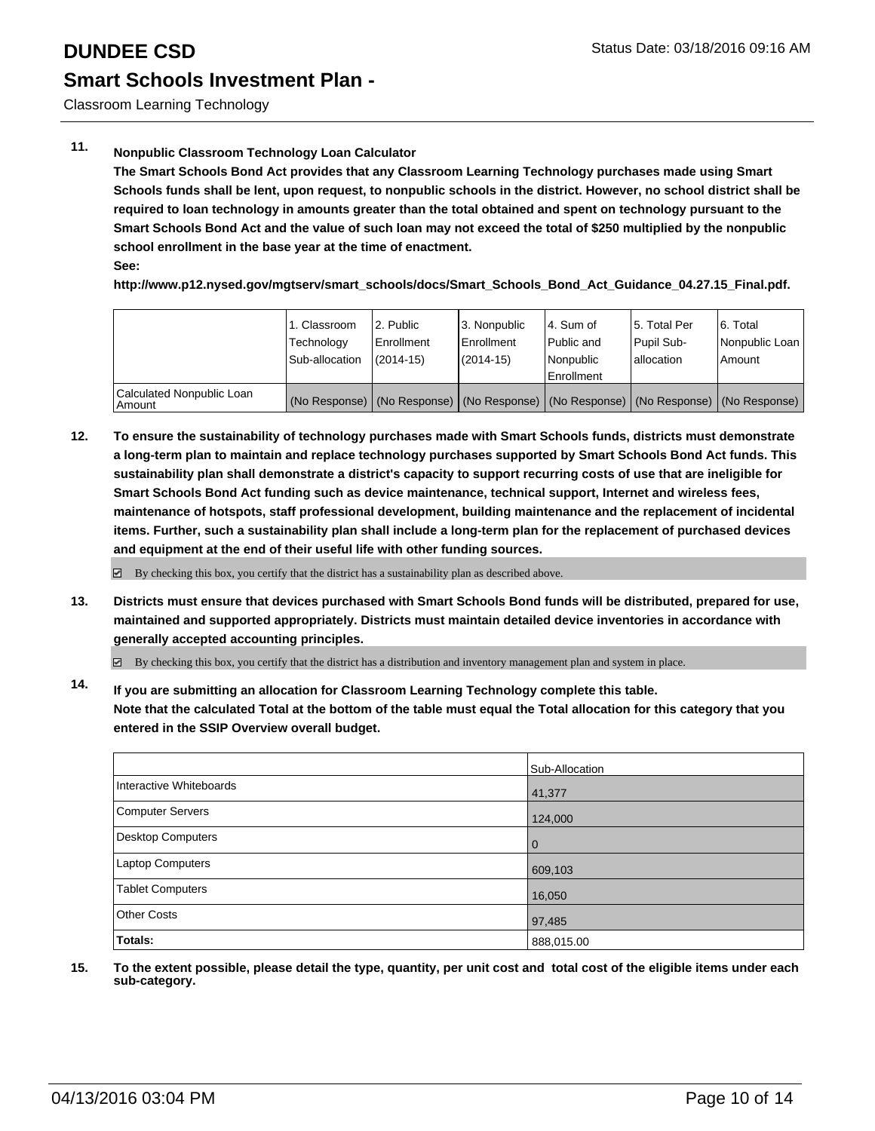Classroom Learning Technology

### **11. Nonpublic Classroom Technology Loan Calculator**

**The Smart Schools Bond Act provides that any Classroom Learning Technology purchases made using Smart Schools funds shall be lent, upon request, to nonpublic schools in the district. However, no school district shall be required to loan technology in amounts greater than the total obtained and spent on technology pursuant to the Smart Schools Bond Act and the value of such loan may not exceed the total of \$250 multiplied by the nonpublic school enrollment in the base year at the time of enactment. See:**

**http://www.p12.nysed.gov/mgtserv/smart\_schools/docs/Smart\_Schools\_Bond\_Act\_Guidance\_04.27.15\_Final.pdf.**

|                                     | 1. Classroom<br>Technology<br>Sub-allocation | 2. Public<br>Enrollment<br>$(2014-15)$ | 3. Nonpublic<br>l Enrollment<br>$(2014 - 15)$ | l 4. Sum of<br>Public and<br>l Nonpublic<br><b>Enrollment</b> | 15. Total Per<br><b>Pupil Sub-</b><br>lallocation | 6. Total<br>Nonpublic Loan  <br>Amount                                                        |
|-------------------------------------|----------------------------------------------|----------------------------------------|-----------------------------------------------|---------------------------------------------------------------|---------------------------------------------------|-----------------------------------------------------------------------------------------------|
| Calculated Nonpublic Loan<br>Amount |                                              |                                        |                                               |                                                               |                                                   | (No Response)   (No Response)   (No Response)   (No Response)   (No Response)   (No Response) |

**12. To ensure the sustainability of technology purchases made with Smart Schools funds, districts must demonstrate a long-term plan to maintain and replace technology purchases supported by Smart Schools Bond Act funds. This sustainability plan shall demonstrate a district's capacity to support recurring costs of use that are ineligible for Smart Schools Bond Act funding such as device maintenance, technical support, Internet and wireless fees, maintenance of hotspots, staff professional development, building maintenance and the replacement of incidental items. Further, such a sustainability plan shall include a long-term plan for the replacement of purchased devices and equipment at the end of their useful life with other funding sources.**

 $\boxtimes$  By checking this box, you certify that the district has a sustainability plan as described above.

**13. Districts must ensure that devices purchased with Smart Schools Bond funds will be distributed, prepared for use, maintained and supported appropriately. Districts must maintain detailed device inventories in accordance with generally accepted accounting principles.**

By checking this box, you certify that the district has a distribution and inventory management plan and system in place.

**14. If you are submitting an allocation for Classroom Learning Technology complete this table. Note that the calculated Total at the bottom of the table must equal the Total allocation for this category that you entered in the SSIP Overview overall budget.**

|                         | Sub-Allocation |
|-------------------------|----------------|
| Interactive Whiteboards | 41,377         |
| Computer Servers        | 124,000        |
| Desktop Computers       | $\Omega$       |
| Laptop Computers        | 609,103        |
| Tablet Computers        | 16,050         |
| <b>Other Costs</b>      | 97,485         |
| Totals:                 | 888,015.00     |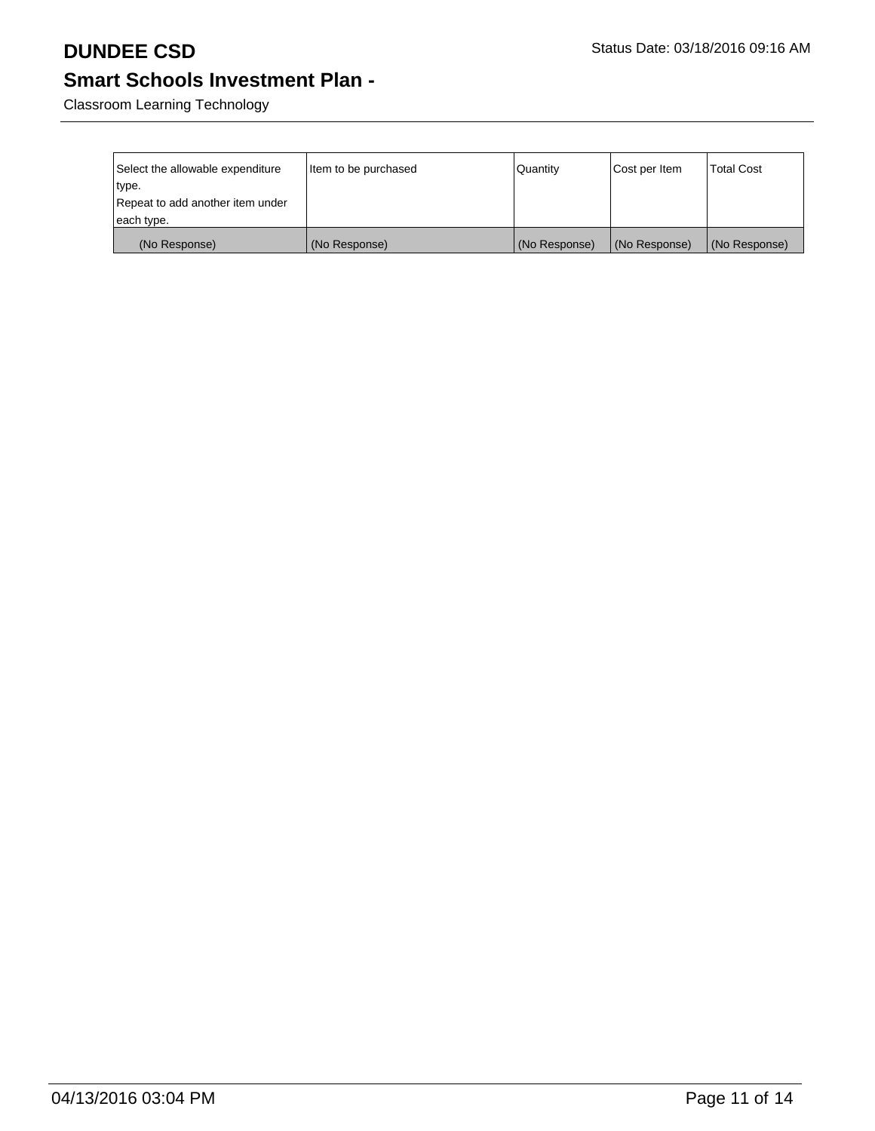Classroom Learning Technology

| Select the allowable expenditure<br>type.<br>Repeat to add another item under | Item to be purchased | Quantity      | Cost per Item | <b>Total Cost</b> |
|-------------------------------------------------------------------------------|----------------------|---------------|---------------|-------------------|
| each type.                                                                    |                      |               |               |                   |
| (No Response)                                                                 | (No Response)        | (No Response) | (No Response) | (No Response)     |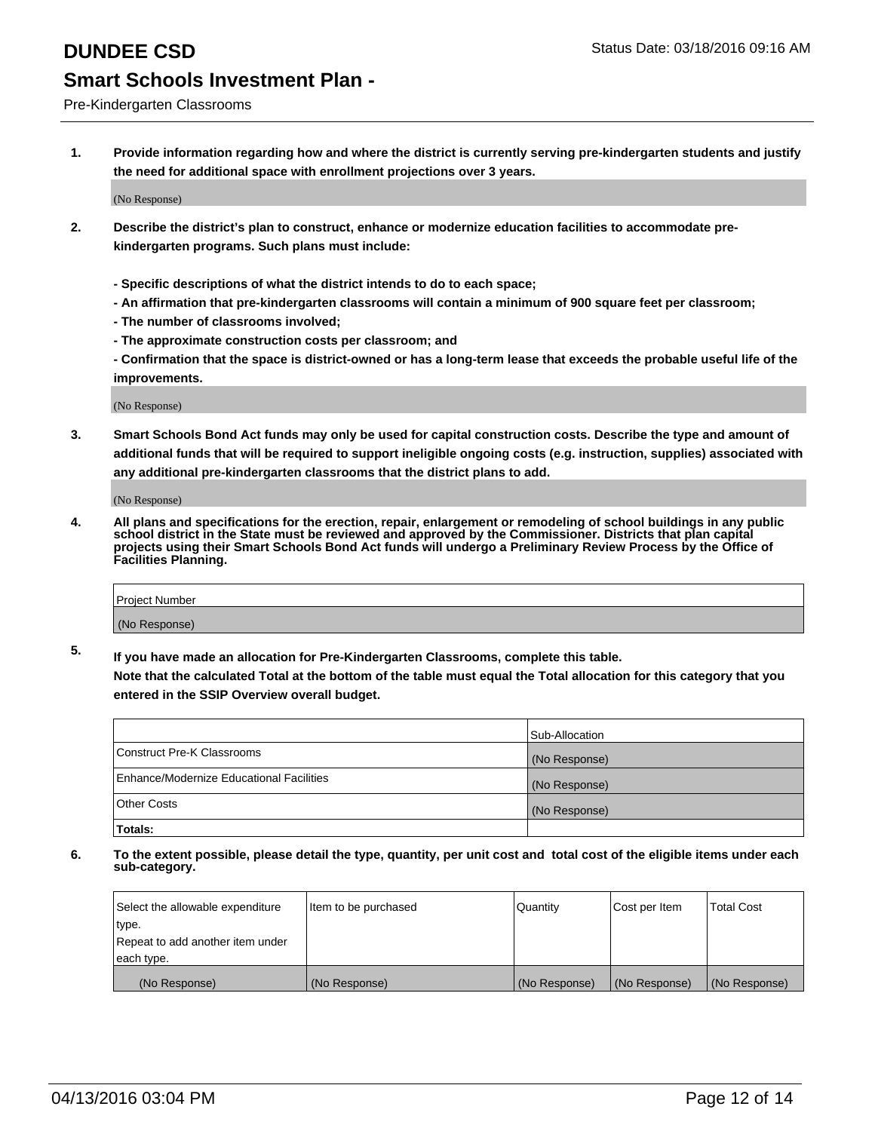Pre-Kindergarten Classrooms

**1. Provide information regarding how and where the district is currently serving pre-kindergarten students and justify the need for additional space with enrollment projections over 3 years.**

(No Response)

- **2. Describe the district's plan to construct, enhance or modernize education facilities to accommodate prekindergarten programs. Such plans must include:**
	- **Specific descriptions of what the district intends to do to each space;**
	- **An affirmation that pre-kindergarten classrooms will contain a minimum of 900 square feet per classroom;**
	- **The number of classrooms involved;**
	- **The approximate construction costs per classroom; and**
	- **Confirmation that the space is district-owned or has a long-term lease that exceeds the probable useful life of the improvements.**

(No Response)

**3. Smart Schools Bond Act funds may only be used for capital construction costs. Describe the type and amount of additional funds that will be required to support ineligible ongoing costs (e.g. instruction, supplies) associated with any additional pre-kindergarten classrooms that the district plans to add.**

(No Response)

**4. All plans and specifications for the erection, repair, enlargement or remodeling of school buildings in any public school district in the State must be reviewed and approved by the Commissioner. Districts that plan capital projects using their Smart Schools Bond Act funds will undergo a Preliminary Review Process by the Office of Facilities Planning.**

| Project Number |  |
|----------------|--|
| (No Response)  |  |

**5. If you have made an allocation for Pre-Kindergarten Classrooms, complete this table. Note that the calculated Total at the bottom of the table must equal the Total allocation for this category that you**

**entered in the SSIP Overview overall budget.**

|                                          | Sub-Allocation |
|------------------------------------------|----------------|
| Construct Pre-K Classrooms               | (No Response)  |
| Enhance/Modernize Educational Facilities | (No Response)  |
| Other Costs                              | (No Response)  |
| Totals:                                  |                |

| Select the allowable expenditure | Item to be purchased | Quantity      | Cost per Item | <b>Total Cost</b> |
|----------------------------------|----------------------|---------------|---------------|-------------------|
| type.                            |                      |               |               |                   |
| Repeat to add another item under |                      |               |               |                   |
| each type.                       |                      |               |               |                   |
| (No Response)                    | (No Response)        | (No Response) | (No Response) | (No Response)     |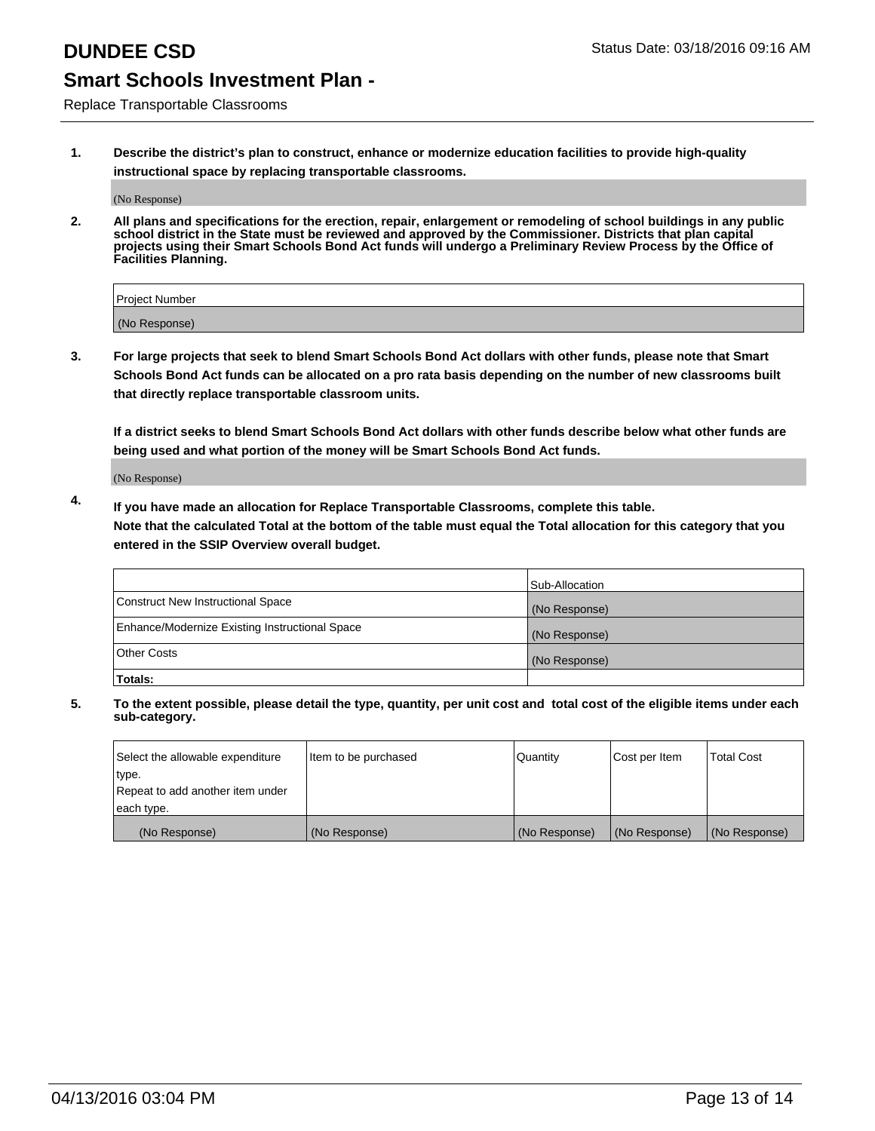Replace Transportable Classrooms

**1. Describe the district's plan to construct, enhance or modernize education facilities to provide high-quality instructional space by replacing transportable classrooms.**

(No Response)

**2. All plans and specifications for the erection, repair, enlargement or remodeling of school buildings in any public school district in the State must be reviewed and approved by the Commissioner. Districts that plan capital projects using their Smart Schools Bond Act funds will undergo a Preliminary Review Process by the Office of Facilities Planning.**

| Project Number |  |
|----------------|--|
| (No Response)  |  |

**3. For large projects that seek to blend Smart Schools Bond Act dollars with other funds, please note that Smart Schools Bond Act funds can be allocated on a pro rata basis depending on the number of new classrooms built that directly replace transportable classroom units.**

**If a district seeks to blend Smart Schools Bond Act dollars with other funds describe below what other funds are being used and what portion of the money will be Smart Schools Bond Act funds.**

(No Response)

**4. If you have made an allocation for Replace Transportable Classrooms, complete this table. Note that the calculated Total at the bottom of the table must equal the Total allocation for this category that you entered in the SSIP Overview overall budget.**

|                                                | Sub-Allocation |
|------------------------------------------------|----------------|
| Construct New Instructional Space              | (No Response)  |
| Enhance/Modernize Existing Instructional Space | (No Response)  |
| <b>Other Costs</b>                             | (No Response)  |
| Totals:                                        |                |

| Select the allowable expenditure | Item to be purchased | Quantity      | Cost per Item | <b>Total Cost</b> |
|----------------------------------|----------------------|---------------|---------------|-------------------|
| type.                            |                      |               |               |                   |
| Repeat to add another item under |                      |               |               |                   |
| each type.                       |                      |               |               |                   |
| (No Response)                    | (No Response)        | (No Response) | (No Response) | (No Response)     |